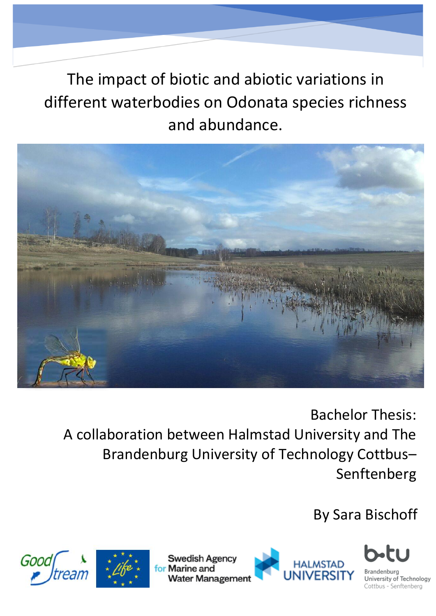The impact of biotic and abiotic variations in different waterbodies on Odonata species richness and abundance.



Bachelor Thesis: A collaboration between Halmstad University and The Brandenburg University of Technology Cottbus– Senftenberg

By Sara Bischoff







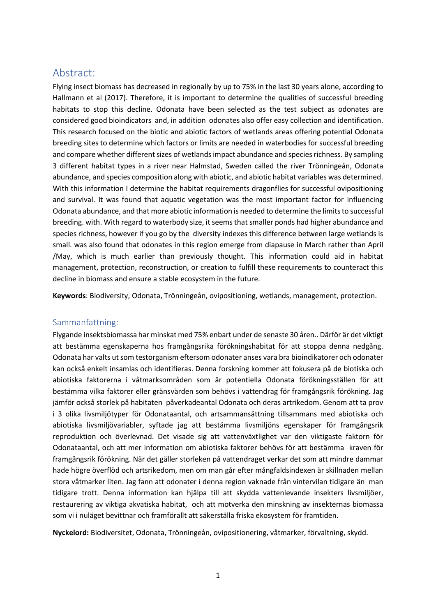## Abstract:

Flying insect biomass has decreased in regionally by up to 75% in the last 30 years alone, according to Hallmann et al (2017). Therefore, it is important to determine the qualities of successful breeding habitats to stop this decline. Odonata have been selected as the test subject as odonates are considered good bioindicators and, in addition odonates also offer easy collection and identification. This research focused on the biotic and abiotic factors of wetlands areas offering potential Odonata breeding sites to determine which factors or limits are needed in waterbodies for successful breeding and compare whether different sizes of wetlands impact abundance and species richness. By sampling 3 different habitat types in a river near Halmstad, Sweden called the river Trönningeån, Odonata abundance, and species composition along with abiotic, and abiotic habitat variables was determined. With this information I determine the habitat requirements dragonflies for successful ovipositioning and survival. It was found that aquatic vegetation was the most important factor for influencing Odonata abundance, and that more abiotic information is needed to determine the limits to successful breeding. with. With regard to waterbody size, it seems that smaller ponds had higher abundance and species richness, however if you go by the diversity indexes this difference between large wetlands is small. was also found that odonates in this region emerge from diapause in March rather than April /May, which is much earlier than previously thought. This information could aid in habitat management, protection, reconstruction, or creation to fulfill these requirements to counteract this decline in biomass and ensure a stable ecosystem in the future.

**Keywords**: Biodiversity, Odonata, Trönningeån, ovipositioning, wetlands, management, protection.

#### Sammanfattning:

Flygande insektsbiomassa har minskat med 75% enbart under de senaste 30 åren.. Därför är det viktigt att bestämma egenskaperna hos framgångsrika förökningshabitat för att stoppa denna nedgång. Odonata har valts ut som testorganism eftersom odonater anses vara bra bioindikatorer och odonater kan också enkelt insamlas och identifieras. Denna forskning kommer att fokusera på de biotiska och abiotiska faktorerna i våtmarksområden som är potentiella Odonata förökningsställen för att bestämma vilka faktorer eller gränsvärden som behövs i vattendrag för framgångsrik förökning. Jag jämför också storlek på habitaten påverkadeantal Odonata och deras artrikedom. Genom att ta prov i 3 olika livsmiljötyper för Odonataantal, och artsammansättning tillsammans med abiotiska och abiotiska livsmiljövariabler, syftade jag att bestämma livsmiljöns egenskaper för framgångsrik reproduktion och överlevnad. Det visade sig att vattenväxtlighet var den viktigaste faktorn för Odonataantal, och att mer information om abiotiska faktorer behövs för att bestämma kraven för framgångsrik förökning. När det gäller storleken på vattendraget verkar det som att mindre dammar hade högre överflöd och artsrikedom, men om man går efter mångfaldsindexen är skillnaden mellan stora våtmarker liten. Jag fann att odonater i denna region vaknade från vintervilan tidigare än man tidigare trott. Denna information kan hjälpa till att skydda vattenlevande insekters livsmiljöer, restaurering av viktiga akvatiska habitat, och att motverka den minskning av insekternas biomassa som vi i nuläget bevittnar och framförallt att säkerställa friska ekosystem för framtiden.

**Nyckelord:** Biodiversitet, Odonata, Trönningeån, ovipositionering, våtmarker, förvaltning, skydd.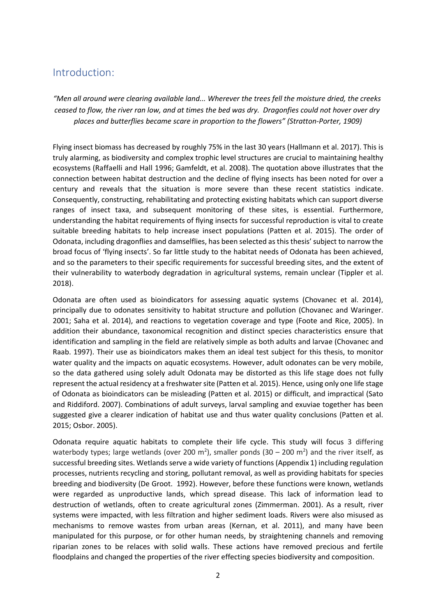# Introduction:

*"Men all around were clearing available land... Wherever the trees fell the moisture dried, the creeks* ceased to flow, the river ran low, and at times the bed was dry. Dragonfies could not hover over dry *places and butterflies became scare in proportion to the flowers" (Stratton‐Porter, 1909)*

Flying insect biomass has decreased by roughly 75% in the last 30 years (Hallmann et al. 2017). This is truly alarming, as biodiversity and complex trophic level structures are crucial to maintaining healthy ecosystems (Raffaelli and Hall 1996; Gamfeldt, et al. 2008). The quotation above illustrates that the connection between habitat destruction and the decline of flying insects has been noted for over a century and reveals that the situation is more severe than these recent statistics indicate. Consequently, constructing, rehabilitating and protecting existing habitats which can support diverse ranges of insect taxa, and subsequent monitoring of these sites, is essential. Furthermore, understanding the habitat requirements of flying insects for successful reproduction is vital to create suitable breeding habitats to help increase insect populations (Patten et al. 2015). The order of Odonata, including dragonflies and damselflies, has been selected as this thesis' subject to narrow the broad focus of 'flying insects'. So far little study to the habitat needs of Odonata has been achieved, and so the parameters to their specific requirements for successful breeding sites, and the extent of their vulnerability to waterbody degradation in agricultural systems, remain unclear (Tippler et al. 2018).

Odonata are often used as bioindicators for assessing aquatic systems (Chovanec et al. 2014), principally due to odonates sensitivity to habitat structure and pollution (Chovanec and Waringer. 2001; Saha et al. 2014), and reactions to vegetation coverage and type (Foote and Rice, 2005). In addition their abundance, taxonomical recognition and distinct species characteristics ensure that identification and sampling in the field are relatively simple as both adults and larvae (Chovanec and Raab. 1997). Their use as bioindicators makes them an ideal test subject for this thesis, to monitor water quality and the impacts on aquatic ecosystems. However, adult odonates can be very mobile, so the data gathered using solely adult Odonata may be distorted as this life stage does not fully represent the actual residency at a freshwater site (Patten et al. 2015). Hence, using only one life stage of Odonata as bioindicators can be misleading (Patten et al. 2015) or difficult, and impractical (Sato and Riddiford. 2007). Combinations of adult surveys, larval sampling and exuviae together has been suggested give a clearer indication of habitat use and thus water quality conclusions (Patten et al. 2015; Osbor. 2005).

Odonata require aquatic habitats to complete their life cycle. This study will focus 3 differing waterbody types; large wetlands (over 200 m<sup>2</sup>), smaller ponds (30 – 200 m<sup>2</sup>) and the river itself, as successful breeding sites. Wetlands serve a wide variety of functions (Appendix 1) including regulation processes, nutrients recycling and storing, pollutant removal, as well as providing habitats for species breeding and biodiversity (De Groot. 1992). However, before these functions were known, wetlands were regarded as unproductive lands, which spread disease. This lack of information lead to destruction of wetlands, often to create agricultural zones (Zimmerman. 2001). As a result, river systems were impacted, with less filtration and higher sediment loads. Rivers were also misused as mechanisms to remove wastes from urban areas (Kernan, et al. 2011), and many have been manipulated for this purpose, or for other human needs, by straightening channels and removing riparian zones to be relaces with solid walls. These actions have removed precious and fertile floodplains and changed the properties of the river effecting species biodiversity and composition.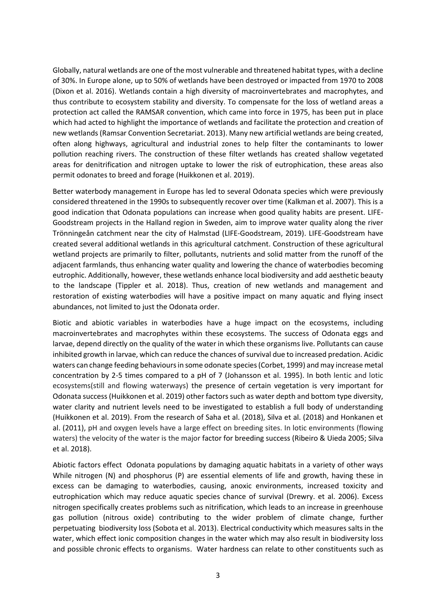Globally, natural wetlands are one of the most vulnerable and threatened habitat types, with a decline of 30%. In Europe alone, up to 50% of wetlands have been destroyed or impacted from 1970 to 2008 (Dixon et al. 2016). Wetlands contain a high diversity of macroinvertebrates and macrophytes, and thus contribute to ecosystem stability and diversity. To compensate for the loss of wetland areas a protection act called the RAMSAR convention, which came into force in 1975, has been put in place which had acted to highlight the importance of wetlands and facilitate the protection and creation of new wetlands (Ramsar Convention Secretariat. 2013). Many new artificial wetlands are being created, often along highways, agricultural and industrial zones to help filter the contaminants to lower pollution reaching rivers. The construction of these filter wetlands has created shallow vegetated areas for denitrification and nitrogen uptake to lower the risk of eutrophication, these areas also permit odonates to breed and forage (Huikkonen et al. 2019).

Better waterbody management in Europe has led to several Odonata species which were previously considered threatened in the 1990s to subsequently recover over time (Kalkman et al. 2007). This is a good indication that Odonata populations can increase when good quality habits are present. LIFE-Goodstream projects in the Halland region in Sweden, aim to improve water quality along the river Trönningeån catchment near the city of Halmstad (LIFE-Goodstream, 2019). LIFE-Goodstream have created several additional wetlands in this agricultural catchment. Construction of these agricultural wetland projects are primarily to filter, pollutants, nutrients and solid matter from the runoff of the adjacent farmlands, thus enhancing water quality and lowering the chance of waterbodies becoming eutrophic. Additionally, however, these wetlands enhance local biodiversity and add aesthetic beauty to the landscape (Tippler et al. 2018). Thus, creation of new wetlands and management and restoration of existing waterbodies will have a positive impact on many aquatic and flying insect abundances, not limited to just the Odonata order.

Biotic and abiotic variables in waterbodies have a huge impact on the ecosystems, including macroinvertebrates and macrophytes within these ecosystems. The success of Odonata eggs and larvae, depend directly on the quality of the water in which these organisms live. Pollutants can cause inhibited growth in larvae, which can reduce the chances of survival due to increased predation. Acidic waters can change feeding behaviours in some odonate species (Corbet, 1999) and may increase metal concentration by 2-5 times compared to a pH of 7 (Johansson et al. 1995). In both lentic and lotic ecosystems(still and flowing waterways) the presence of certain vegetation is very important for Odonata success (Huikkonen et al. 2019) other factors such as water depth and bottom type diversity, water clarity and nutrient levels need to be investigated to establish a full body of understanding (Huikkonen et al. 2019). From the research of Saha et al. (2018), Silva et al. (2018) and Honkanen et al. (2011), pH and oxygen levels have a large effect on breeding sites. In lotic environments (flowing waters) the velocity of the water is the major factor for breeding success (Ribeiro & Uieda 2005; Silva et al. 2018).

Abiotic factors effect Odonata populations by damaging aquatic habitats in a variety of other ways While nitrogen (N) and phosphorus (P) are essential elements of life and growth, having these in excess can be damaging to waterbodies, causing, anoxic environments, increased toxicity and eutrophication which may reduce aquatic species chance of survival (Drewry. et al. 2006). Excess nitrogen specifically creates problems such as nitrification, which leads to an increase in greenhouse gas pollution (nitrous oxide) contributing to the wider problem of climate change, further perpetuating biodiversity loss (Sobota et al. 2013). Electrical conductivity which measures salts in the water, which effect ionic composition changes in the water which may also result in biodiversity loss and possible chronic effects to organisms. Water hardness can relate to other constituents such as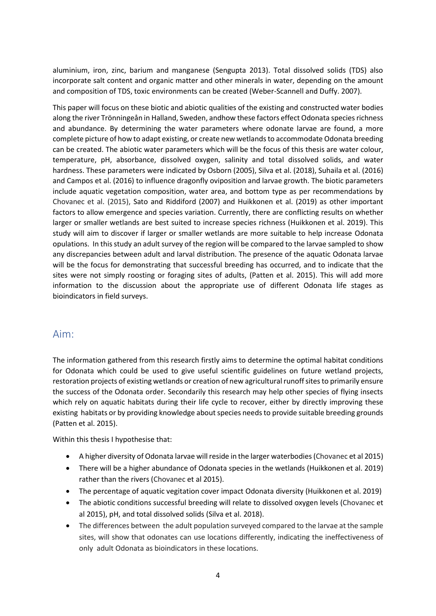aluminium, iron, zinc, barium and manganese (Sengupta 2013). Total dissolved solids (TDS) also incorporate salt content and organic matter and other minerals in water, depending on the amount and composition of TDS, toxic environments can be created (Weber-Scannell and Duffy. 2007).

This paper will focus on these biotic and abiotic qualities of the existing and constructed water bodies along the river Trönningeån in Halland, Sweden, andhow these factors effect Odonata species richness and abundance. By determining the water parameters where odonate larvae are found, a more complete picture of how to adapt existing, or create new wetlands to accommodate Odonata breeding can be created. The abiotic water parameters which will be the focus of this thesis are water colour, temperature, pH, absorbance, dissolved oxygen, salinity and total dissolved solids, and water hardness. These parameters were indicated by Osborn (2005), Silva et al. (2018), Suhaila et al. (2016) and Campos et al. (2016) to influence dragonfly oviposition and larvae growth. The biotic parameters include aquatic vegetation composition, water area, and bottom type as per recommendations by Chovanec et al. (2015), Sato and Riddiford (2007) and Huikkonen et al. (2019) as other important factors to allow emergence and species variation. Currently, there are conflicting results on whether larger or smaller wetlands are best suited to increase species richness (Huikkonen et al. 2019). This study will aim to discover if larger or smaller wetlands are more suitable to help increase Odonata opulations. In this study an adult survey of the region will be compared to the larvae sampled to show any discrepancies between adult and larval distribution. The presence of the aquatic Odonata larvae will be the focus for demonstrating that successful breeding has occurred, and to indicate that the sites were not simply roosting or foraging sites of adults, (Patten et al. 2015). This will add more information to the discussion about the appropriate use of different Odonata life stages as bioindicators in field surveys.

# Aim:

The information gathered from this research firstly aims to determine the optimal habitat conditions for Odonata which could be used to give useful scientific guidelines on future wetland projects, restoration projects of existing wetlands or creation of new agricultural runoff sites to primarily ensure the success of the Odonata order. Secondarily this research may help other species of flying insects which rely on aquatic habitats during their life cycle to recover, either by directly improving these existing habitats or by providing knowledge about species needs to provide suitable breeding grounds (Patten et al. 2015).

Within this thesis I hypothesise that:

- A higher diversity of Odonata larvae will reside in the larger waterbodies(Chovanec et al 2015)
- There will be a higher abundance of Odonata species in the wetlands (Huikkonen et al. 2019) rather than the rivers (Chovanec et al 2015).
- The percentage of aquatic vegitation cover impact Odonata diversity (Huikkonen et al. 2019)
- The abiotic conditions successful breeding will relate to dissolved oxygen levels (Chovanec et al 2015), pH, and total dissolved solids (Silva et al. 2018).
- The differences between the adult population surveyed compared to the larvae at the sample sites, will show that odonates can use locations differently, indicating the ineffectiveness of only adult Odonata as bioindicators in these locations.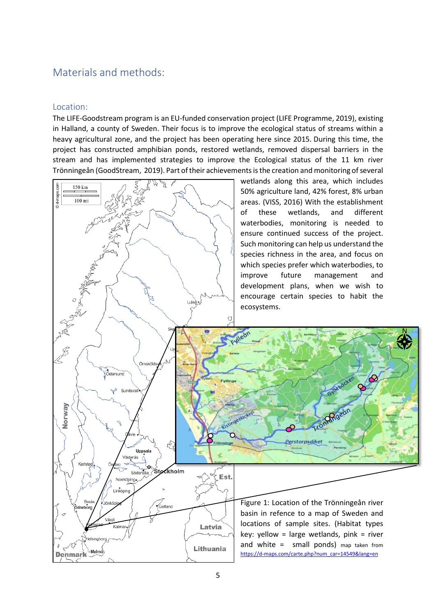# Materials and methods:

#### Location:

The LIFE-Goodstream program is an EU-funded conservation project (LIFE Programme, 2019), existing in Halland, a county of Sweden. Their focus is to improve the ecological status of streams within a heavy agricultural zone, and the project has been operating here since 2015. During this time, the project has constructed amphibian ponds, restored wetlands, removed dispersal barriers in the stream and has implemented strategies to improve the Ecological status of the 11 km river Trönningeån (GoodStream, 2019). Part of their achievements is the creation and monitoring of several

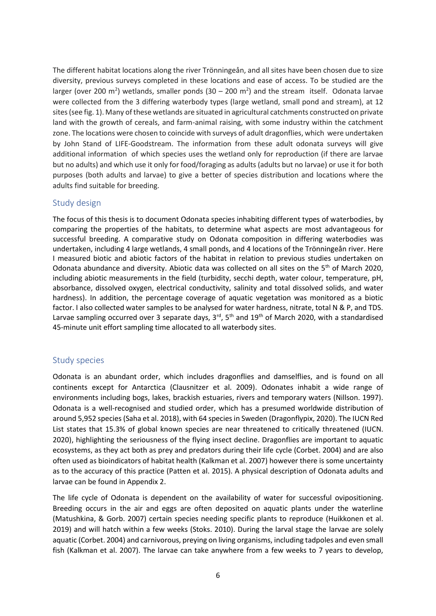The different habitat locations along the river Trönningeån, and all sites have been chosen due to size diversity, previous surveys completed in these locations and ease of access. To be studied are the larger (over 200 m<sup>2</sup>) wetlands, smaller ponds (30 – 200 m<sup>2</sup>) and the stream itself. Odonata larvae were collected from the 3 differing waterbody types (large wetland, small pond and stream), at 12 sites (see fig. 1). Many of these wetlands are situated in agricultural catchments constructed on private land with the growth of cereals, and farm-animal raising, with some industry within the catchment zone. The locations were chosen to coincide with surveys of adult dragonflies, which were undertaken by John Stand of LIFE-Goodstream. The information from these adult odonata surveys will give additional information of which species uses the wetland only for reproduction (if there are larvae but no adults) and which use it only for food/foraging as adults (adults but no larvae) or use it for both purposes (both adults and larvae) to give a better of species distribution and locations where the adults find suitable for breeding.

#### Study design

The focus of this thesis is to document Odonata species inhabiting different types of waterbodies, by comparing the properties of the habitats, to determine what aspects are most advantageous for successful breeding. A comparative study on Odonata composition in differing waterbodies was undertaken, including 4 large wetlands, 4 small ponds, and 4 locations of the Trönningeån river. Here I measured biotic and abiotic factors of the habitat in relation to previous studies undertaken on Odonata abundance and diversity. Abiotic data was collected on all sites on the 5th of March 2020, including abiotic measurements in the field (turbidity, secchi depth, water colour, temperature, pH, absorbance, dissolved oxygen, electrical conductivity, salinity and total dissolved solids, and water hardness). In addition, the percentage coverage of aquatic vegetation was monitored as a biotic factor. I also collected water samples to be analysed for water hardness, nitrate, total N & P, and TDS. Larvae sampling occurred over 3 separate days,  $3<sup>rd</sup>$ ,  $5<sup>th</sup>$  and  $19<sup>th</sup>$  of March 2020, with a standardised 45-minute unit effort sampling time allocated to all waterbody sites.

#### Study species

Odonata is an abundant order, which includes dragonflies and damselflies, and is found on all continents except for Antarctica (Clausnitzer et al. 2009). Odonates inhabit a wide range of environments including bogs, lakes, brackish estuaries, rivers and temporary waters (Nillson. 1997). Odonata is a well-recognised and studied order, which has a presumed worldwide distribution of around 5,952 species(Saha et al. 2018), with 64 species in Sweden (Dragonflypix, 2020). The IUCN Red List states that 15.3% of global known species are near threatened to critically threatened (IUCN. 2020), highlighting the seriousness of the flying insect decline. Dragonflies are important to aquatic ecosystems, as they act both as prey and predators during their life cycle (Corbet. 2004) and are also often used as bioindicators of habitat health (Kalkman et al. 2007) however there is some uncertainty as to the accuracy of this practice (Patten et al. 2015). A physical description of Odonata adults and larvae can be found in Appendix 2.

The life cycle of Odonata is dependent on the availability of water for successful ovipositioning. Breeding occurs in the air and eggs are often deposited on aquatic plants under the waterline (Matushkina, & Gorb. 2007) certain species needing specific plants to reproduce (Huikkonen et al. 2019) and will hatch within a few weeks (Stoks. 2010). During the larval stage the larvae are solely aquatic (Corbet. 2004) and carnivorous, preying on living organisms, including tadpoles and even small fish (Kalkman et al. 2007). The larvae can take anywhere from a few weeks to 7 years to develop,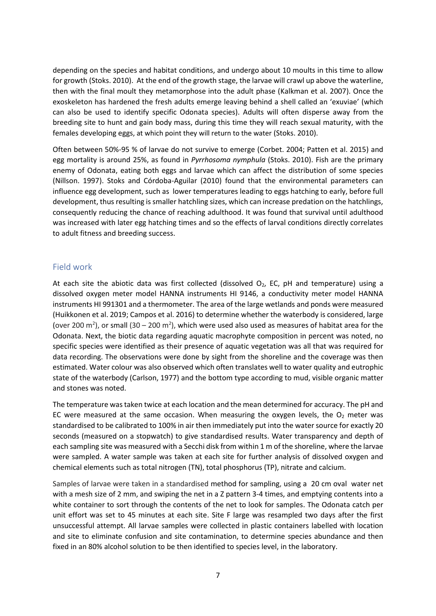depending on the species and habitat conditions, and undergo about 10 moults in this time to allow for growth (Stoks. 2010). At the end of the growth stage, the larvae will crawl up above the waterline, then with the final moult they metamorphose into the adult phase (Kalkman et al. 2007). Once the exoskeleton has hardened the fresh adults emerge leaving behind a shell called an 'exuviae' (which can also be used to identify specific Odonata species). Adults will often disperse away from the breeding site to hunt and gain body mass, during this time they will reach sexual maturity, with the females developing eggs, at which point they will return to the water (Stoks. 2010).

Often between 50%-95 % of larvae do not survive to emerge (Corbet. 2004; Patten et al. 2015) and egg mortality is around 25%, as found in *Pyrrhosoma nymphula* (Stoks. 2010). Fish are the primary enemy of Odonata, eating both eggs and larvae which can affect the distribution of some species (Nillson. 1997). Stoks and Córdoba-Aguilar (2010) found that the environmental parameters can influence egg development, such as lower temperatures leading to eggs hatching to early, before full development, thus resulting is smaller hatchling sizes, which can increase predation on the hatchlings, consequently reducing the chance of reaching adulthood. It was found that survival until adulthood was increased with later egg hatching times and so the effects of larval conditions directly correlates to adult fitness and breeding success.

#### Field work

At each site the abiotic data was first collected (dissolved  $O_2$ , EC, pH and temperature) using a dissolved oxygen meter model HANNA instruments HI 9146, a conductivity meter model HANNA instruments HI 991301 and a thermometer. The area of the large wetlands and ponds were measured (Huikkonen et al. 2019; Campos et al. 2016) to determine whether the waterbody is considered, large (over 200 m<sup>2</sup>), or small (30 – 200 m<sup>2</sup>), which were used also used as measures of habitat area for the Odonata. Next, the biotic data regarding aquatic macrophyte composition in percent was noted, no specific species were identified as their presence of aquatic vegetation was all that was required for data recording. The observations were done by sight from the shoreline and the coverage was then estimated. Water colour was also observed which often translates well to water quality and eutrophic state of the waterbody (Carlson, 1977) and the bottom type according to mud, visible organic matter and stones was noted.

The temperature was taken twice at each location and the mean determined for accuracy. The pH and EC were measured at the same occasion. When measuring the oxygen levels, the  $O<sub>2</sub>$  meter was standardised to be calibrated to 100% in air then immediately put into the water source for exactly 20 seconds (measured on a stopwatch) to give standardised results. Water transparency and depth of each sampling site was measured with a Secchi disk from within 1 m of the shoreline, where the larvae were sampled. A water sample was taken at each site for further analysis of dissolved oxygen and chemical elements such as total nitrogen (TN), total phosphorus (TP), nitrate and calcium.

Samples of larvae were taken in a standardised method for sampling, using a 20 cm oval water net with a mesh size of 2 mm, and swiping the net in a Z pattern 3-4 times, and emptying contents into a white container to sort through the contents of the net to look for samples. The Odonata catch per unit effort was set to 45 minutes at each site. Site F large was resampled two days after the first unsuccessful attempt. All larvae samples were collected in plastic containers labelled with location and site to eliminate confusion and site contamination, to determine species abundance and then fixed in an 80% alcohol solution to be then identified to species level, in the laboratory.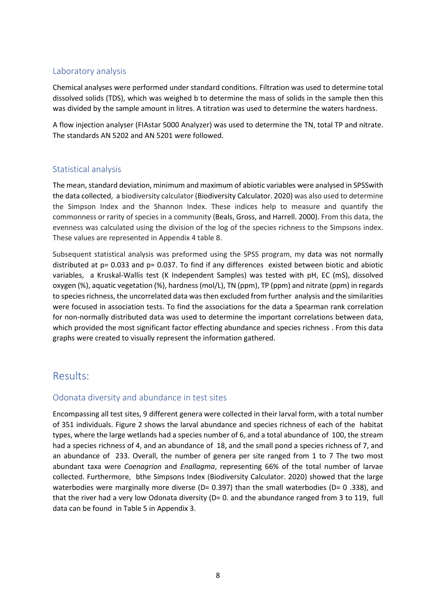#### Laboratory analysis

Chemical analyses were performed under standard conditions. Filtration was used to determine total dissolved solids (TDS), which was weighed b to determine the mass of solids in the sample then this was divided by the sample amount in litres. A titration was used to determine the waters hardness.

A flow injection analyser (FIAstar 5000 Analyzer) was used to determine the TN, total TP and nitrate. The standards AN 5202 and AN 5201 were followed.

#### Statistical analysis

The mean, standard deviation, minimum and maximum of abiotic variables were analysed in SPSSwith the data collected, a biodiversity calculator (Biodiversity Calculator. 2020) was also used to determine the Simpson Index and the Shannon Index. These indices help to measure and quantify the commonness or rarity of species in a community (Beals, Gross, and Harrell. 2000). From this data, the evenness was calculated using the division of the log of the species richness to the Simpsons index. These values are represented in Appendix 4 table 8.

Subsequent statistical analysis was preformed using the SPSS program, my data was not normally distributed at p= 0.033 and p= 0.037. To find if any differences existed between biotic and abiotic variables, a Kruskal-Wallis test (K Independent Samples) was tested with pH, EC (mS), dissolved oxygen (%), aquatic vegetation (%), hardness (mol/L), TN (ppm), TP (ppm) and nitrate (ppm) in regards to species richness, the uncorrelated data was then excluded from further analysis and the similarities were focused in association tests. To find the associations for the data a Spearman rank correlation for non-normally distributed data was used to determine the important correlations between data, which provided the most significant factor effecting abundance and species richness . From this data graphs were created to visually represent the information gathered.

# Results:

#### Odonata diversity and abundance in test sites

Encompassing all test sites, 9 different genera were collected in their larval form, with a total number of 351 individuals. Figure 2 shows the larval abundance and species richness of each of the habitat types, where the large wetlands had a species number of 6, and a total abundance of 100, the stream had a species richness of 4, and an abundance of 18, and the small pond a species richness of 7, and an abundance of 233. Overall, the number of genera per site ranged from 1 to 7 The two most abundant taxa were *Coenagrion* and *Enallagma*, representing 66% of the total number of larvae collected. Furthermore, bthe Simpsons Index (Biodiversity Calculator. 2020) showed that the large waterbodies were marginally more diverse (D= 0.397) than the small waterbodies (D= 0.338), and that the river had a very low Odonata diversity (D= 0. and the abundance ranged from 3 to 119, full data can be found in Table 5 in Appendix 3.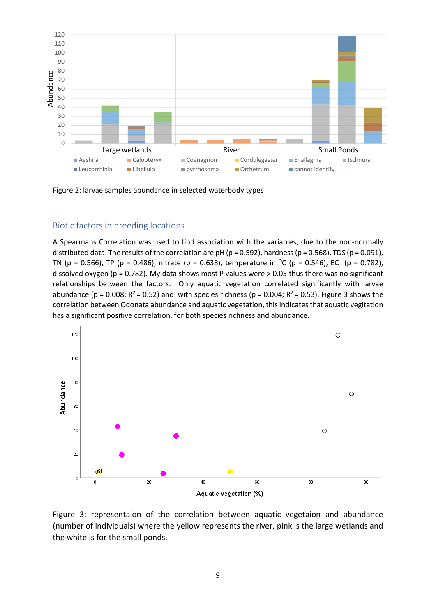

Figure 2: larvae samples abundance in selected waterbody types

#### Biotic factors in breeding locations

A Spearmans Correlation was used to find association with the variables, due to the non-normally distributed data. The results of the correlation are pH ( $p = 0.592$ ), hardness ( $p = 0.568$ ), TDS ( $p = 0.091$ ), TN (p = 0.566), TP (p = 0.486), nitrate (p = 0.638), temperature in <sup>o</sup>C (p = 0.546), EC (p = 0.782), dissolved oxygen (p = 0.782). My data shows most P values were > 0.05 thus there was no significant relationships between the factors. Only aquatic vegetation correlated significantly with larvae abundance ( $p = 0.008$ ;  $R^2 = 0.52$ ) and with species richness ( $p = 0.004$ ;  $R^2 = 0.53$ ). Figure 3 shows the correlation between Odonata abundance and aquatic vegetation, this indicatesthat aquatic vegitation has a significant positive correlation, for both species richness and abundance.



Figure 3: representaion of the correlation between aquatic vegetaion and abundance (number of individuals) where the yellow represents the river, pink is the large wetlands and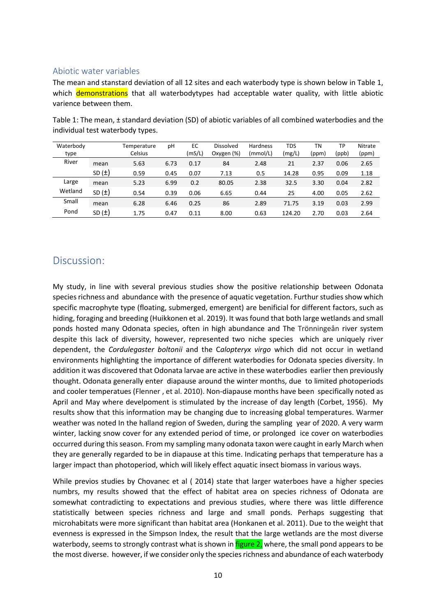#### Abiotic water variables

The mean and stanstard deviation of all 12 sites and each waterbody type is shown below in Table 1, which demonstrations that all waterbodytypes had acceptable water quality, with little abiotic varience between them.

|           | individual test waterbody types. |    |     |           |          |            |    |         |
|-----------|----------------------------------|----|-----|-----------|----------|------------|----|---------|
| Waterbody | Temperature                      | рH | EC. | Dissolved | Hardness | <b>TDS</b> | TN | Nitrate |

Table 1: The mean, ± standard deviation (SD) of abiotic variables of all combined waterbodies and the

| <i>v</i> alerbouy |            | i emperature | DП   | ᇿ      | pissoived  | <b>Hardfiess</b> | כש ו   | 1 I V | ١۲    | Nitrate |
|-------------------|------------|--------------|------|--------|------------|------------------|--------|-------|-------|---------|
| type              |            | Celsius      |      | (mS/L) | Oxygen (%) | (mmol/L)         | (mg/L) | (ppm) | (ppb) | (ppm)   |
| River             | mean       | 5.63         | 6.73 | 0.17   | 84         | 2.48             | 21     | 2.37  | 0.06  | 2.65    |
|                   | SD $(\pm)$ | 0.59         | 0.45 | 0.07   | 7.13       | 0.5              | 14.28  | 0.95  | 0.09  | 1.18    |
| Large             | mean       | 5.23         | 6.99 | 0.2    | 80.05      | 2.38             | 32.5   | 3.30  | 0.04  | 2.82    |
| Wetland           | SD $(\pm)$ | 0.54         | 0.39 | 0.06   | 6.65       | 0.44             | 25     | 4.00  | 0.05  | 2.62    |
| Small             | mean       | 6.28         | 6.46 | 0.25   | 86         | 2.89             | 71.75  | 3.19  | 0.03  | 2.99    |
| Pond              | SD $(\pm)$ | 1.75         | 0.47 | 0.11   | 8.00       | 0.63             | 124.20 | 2.70  | 0.03  | 2.64    |

### Discussion:

My study, in line with several previous studies show the positive relationship between Odonata species richness and abundance with the presence of aquatic vegetation. Furthur studies show which specific macrophyte type (floating, submerged, emergent) are benificial for different factors, such as hiding, foraging and breeding (Huikkonen et al. 2019). It was found that both large wetlands and small ponds hosted many Odonata species, often in high abundance and The Trönningeån river system despite this lack of diversity, however, represented two niche species which are uniquely river dependent, the *Cordulegaster boltonii* and the C*alopteryx virgo* which did not occur in wetland environments highlighting the importance of different waterbodies for Odonata species diversity. In addition it was discovered that Odonata larvae are active in these waterbodies earlier then previously thought. Odonata generally enter diapause around the winter months, due to limited photoperiods and cooler temperatues (Flenner , et al. 2010). Non-diapause months have been specifically noted as April and May where develpoment is stimulated by the increase of day length (Corbet, 1956). My results show that this information may be changing due to increasing global temperatures. Warmer weather was noted In the halland region of Sweden, during the sampling year of 2020. A very warm winter, lacking snow cover for any extended period of time, or prolonged ice cover on waterbodies occurred during this season. From my sampling many odonata taxon were caught in early March when they are generally regarded to be in diapause at this time. Indicating perhaps that temperature has a larger impact than photoperiod, which will likely effect aquatic insect biomass in various ways.

While previos studies by Chovanec et al ( 2014) state that larger waterboes have a higher species numbrs, my results showed that the effect of habitat area on species richness of Odonata are somewhat contradicting to expectations and previous studies, where there was little difference statistically between species richness and large and small ponds. Perhaps suggesting that microhabitats were more significant than habitat area (Honkanen et al. 2011). Due to the weight that evenness is expressed in the Simpson Index, the result that the large wetlands are the most diverse waterbody, seems to strongly contrast what is shown in figure 2, where, the small pond appears to be the most diverse. however, if we consider only the species richness and abundance of each waterbody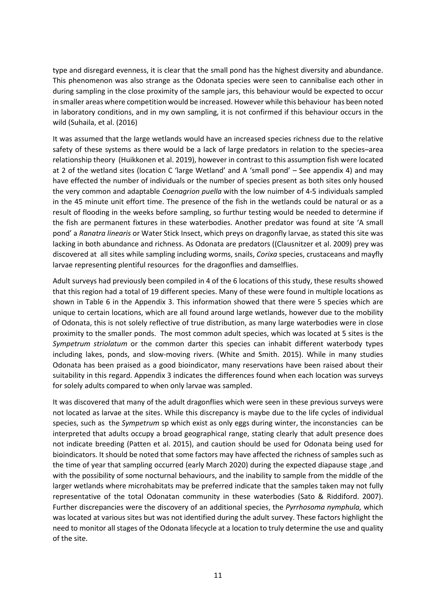type and disregard evenness, it is clear that the small pond has the highest diversity and abundance. This phenomenon was also strange as the Odonata species were seen to cannibalise each other in during sampling in the close proximity of the sample jars, this behaviour would be expected to occur in smaller areas where competition would be increased. However while this behaviour has been noted in laboratory conditions, and in my own sampling, it is not confirmed if this behaviour occurs in the wild (Suhaila, et al. (2016)

It was assumed that the large wetlands would have an increased species richness due to the relative safety of these systems as there would be a lack of large predators in relation to the species–area relationship theory (Huikkonen et al. 2019), however in contrast to this assumption fish were located at 2 of the wetland sites (location C 'large Wetland' and A 'small pond' – See appendix 4) and may have effected the number of individuals or the number of species present as both sites only housed the very common and adaptable *Coenagrion puella* with the low nuimber of 4-5 individuals sampled in the 45 minute unit effort time. The presence of the fish in the wetlands could be natural or as a result of flooding in the weeks before sampling, so furthur testing would be needed to determine if the fish are permanent fixtures in these waterbodies. Another predator was found at site 'A small pond' a *Ranatra linearis* or Water Stick Insect, which preys on dragonfly larvae, as stated this site was lacking in both abundance and richness. As Odonata are predators ((Clausnitzer et al. 2009) prey was discovered at all sites while sampling including worms, snails, *Corixa* species, crustaceans and mayfly larvae representing plentiful resources for the dragonflies and damselflies.

Adult surveys had previously been compiled in 4 of the 6 locations of this study, these results showed that this region had a total of 19 different species. Many of these were found in multiple locations as shown in Table 6 in the Appendix 3. This information showed that there were 5 species which are unique to certain locations, which are all found around large wetlands, however due to the mobility of Odonata, this is not solely reflective of true distribution, as many large waterbodies were in close proximity to the smaller ponds. The most common adult species, which was located at 5 sites is the *Sympetrum striolatum* or the common darter this species can inhabit different waterbody types including lakes, ponds, and slow-moving rivers. (White and Smith. 2015). While in many studies Odonata has been praised as a good bioindicator, many reservations have been raised about their suitability in this regard. Appendix 3 indicates the differences found when each location was surveys for solely adults compared to when only larvae was sampled.

It was discovered that many of the adult dragonflies which were seen in these previous surveys were not located as larvae at the sites. While this discrepancy is maybe due to the life cycles of individual species, such as the *Sympetrum* sp which exist as only eggs during winter, the inconstancies can be interpreted that adults occupy a broad geographical range, stating clearly that adult presence does not indicate breeding (Patten et al. 2015), and caution should be used for Odonata being used for bioindicators. It should be noted that some factors may have affected the richness of samples such as the time of year that sampling occurred (early March 2020) during the expected diapause stage ,and with the possibility of some nocturnal behaviours, and the inability to sample from the middle of the larger wetlands where microhabitats may be preferred indicate that the samples taken may not fully representative of the total Odonatan community in these waterbodies (Sato & Riddiford. 2007). Further discrepancies were the discovery of an additional species, the *Pyrrhosoma nymphula,* which was located at various sites but was not identified during the adult survey. These factors highlight the need to monitor all stages of the Odonata lifecycle at a location to truly determine the use and quality of the site.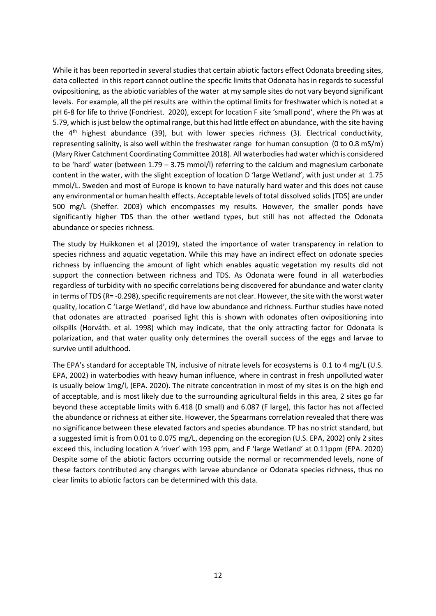While it has been reported in several studies that certain abiotic factors effect Odonata breeding sites, data collected in this report cannot outline the specific limits that Odonata has in regards to sucessful ovipositioning, as the abiotic variables of the water at my sample sites do not vary beyond significant levels. For example, all the pH results are within the optimal limits for freshwater which is noted at a pH 6-8 for life to thrive (Fondriest. 2020), except for location F site 'small pond', where the Ph was at 5.79, which is just below the optimal range, but this had little effect on abundance, with the site having the  $4<sup>th</sup>$  highest abundance (39), but with lower species richness (3). Electrical conductivity, representing salinity, is also well within the freshwater range for human consuption (0 to 0.8 mS/m) (Mary River Catchment Coordinating Committee 2018). All waterbodies had water which is considered to be 'hard' water (between 1.79 – 3.75 mmol/l) referring to the calcium and magnesium carbonate content in the water, with the slight exception of location D 'large Wetland', with just under at 1.75 mmol/L. Sweden and most of Europe is known to have naturally hard water and this does not cause any environmental or human health effects. Acceptable levels of total dissolved solids (TDS) are under 500 mg/L (Sheffer. 2003) which encompasses my results. However, the smaller ponds have significantly higher TDS than the other wetland types, but still has not affected the Odonata abundance or species richness.

The study by Huikkonen et al (2019), stated the importance of water transparency in relation to species richness and aquatic vegetation. While this may have an indirect effect on odonate species richness by influencing the amount of light which enables aquatic vegetation my results did not support the connection between richness and TDS. As Odonata were found in all waterbodies regardless of turbidity with no specific correlations being discovered for abundance and water clarity in terms of TDS (R= -0.298), specific requirements are not clear. However, the site with the worst water quality, location C 'Large Wetland', did have low abundance and richness. Furthur studies have noted that odonates are attracted poarised light this is shown with odonates often ovipositioning into oilspills (Horváth. et al. 1998) which may indicate, that the only attracting factor for Odonata is polarization, and that water quality only determines the overall success of the eggs and larvae to survive until adulthood.

The EPA's standard for acceptable TN, inclusive of nitrate levels for ecosystems is 0.1 to 4 mg/L (U.S. EPA, 2002) in waterbodies with heavy human influence, where in contrast in fresh unpolluted water is usually below 1mg/l, (EPA. 2020). The nitrate concentration in most of my sites is on the high end of acceptable, and is most likely due to the surrounding agricultural fields in this area, 2 sites go far beyond these acceptable limits with 6.418 (D small) and 6.087 (F large), this factor has not affected the abundance or richness at either site. However, the Spearmans correlation revealed that there was no significance between these elevated factors and species abundance. TP has no strict standard, but a suggested limit is from 0.01 to 0.075 mg/L, depending on the ecoregion (U.S. EPA, 2002) only 2 sites exceed this, including location A 'river' with 193 ppm, and F 'large Wetland' at 0.11ppm (EPA. 2020) Despite some of the abiotic factors occurring outside the normal or recommended levels, none of these factors contributed any changes with larvae abundance or Odonata species richness, thus no clear limits to abiotic factors can be determined with this data.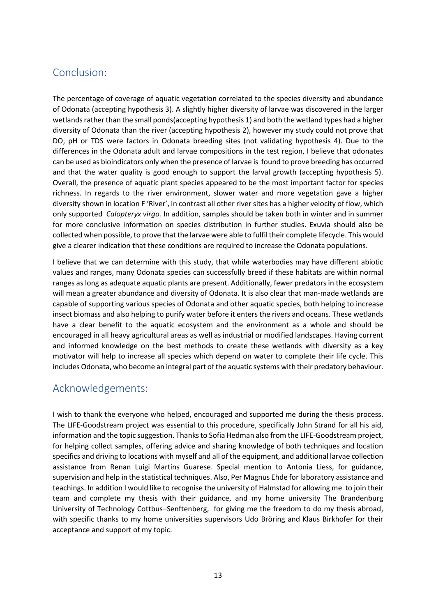# Conclusion:

The percentage of coverage of aquatic vegetation correlated to the species diversity and abundance of Odonata (accepting hypothesis 3). A slightly higher diversity of larvae was discovered in the larger wetlands rather than the small ponds(accepting hypothesis 1) and both the wetland types had a higher diversity of Odonata than the river (accepting hypothesis 2), however my study could not prove that DO, pH or TDS were factors in Odonata breeding sites (not validating hypothesis 4). Due to the differences in the Odonata adult and larvae compositions in the test region, I believe that odonates can be used as bioindicators only when the presence of larvae is found to prove breeding has occurred and that the water quality is good enough to support the larval growth (accepting hypothesis 5). Overall, the presence of aquatic plant species appeared to be the most important factor for species richness. In regards to the river environment, slower water and more vegetation gave a higher diversity shown in location F 'River', in contrast all other river sites has a higher velocity of flow, which only supported *Calopteryx virgo.* In addition, samples should be taken both in winter and in summer for more conclusive information on species distribution in further studies. Exuvia should also be collected when possible, to prove that the larvae were able to fulfil their complete lifecycle. This would give a clearer indication that these conditions are required to increase the Odonata populations.

I believe that we can determine with this study, that while waterbodies may have different abiotic values and ranges, many Odonata species can successfully breed if these habitats are within normal ranges as long as adequate aquatic plants are present. Additionally, fewer predators in the ecosystem will mean a greater abundance and diversity of Odonata. It is also clear that man-made wetlands are capable of supporting various species of Odonata and other aquatic species, both helping to increase insect biomass and also helping to purify water before it enters the rivers and oceans. These wetlands have a clear benefit to the aquatic ecosystem and the environment as a whole and should be encouraged in all heavy agricultural areas as well as industrial or modified landscapes. Having current and informed knowledge on the best methods to create these wetlands with diversity as a key motivator will help to increase all species which depend on water to complete their life cycle. This includes Odonata, who become an integral part of the aquatic systems with their predatory behaviour.

# Acknowledgements:

I wish to thank the everyone who helped, encouraged and supported me during the thesis process. The LIFE-Goodstream project was essential to this procedure, specifically John Strand for all his aid, information and the topic suggestion. Thanks to Sofia Hedman also from the LIFE-Goodstream project, for helping collect samples, offering advice and sharing knowledge of both techniques and location specifics and driving to locations with myself and all of the equipment, and additional larvae collection assistance from Renan Luigi Martins Guarese. Special mention to Antonia Liess, for guidance, supervision and help in the statistical techniques. Also, Per Magnus Ehde for laboratory assistance and teachings. In addition I would like to recognise the university of Halmstad for allowing me to join their team and complete my thesis with their guidance, and my home university The Brandenburg University of Technology Cottbus–Senftenberg, for giving me the freedom to do my thesis abroad, with specific thanks to my home universities supervisors Udo Bröring and Klaus Birkhofer for their acceptance and support of my topic.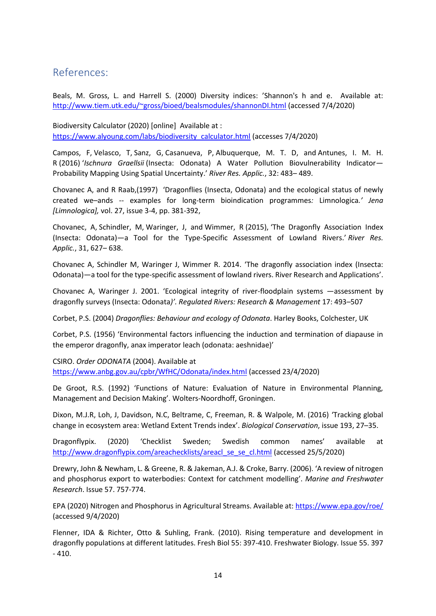# References:

Beals, M. Gross, L. and Harrell S. (2000) Diversity indices: 'Shannon's h and e. Available at: <http://www.tiem.utk.edu/~gross/bioed/bealsmodules/shannonDI.html> (accessed 7/4/2020)

Biodiversity Calculator (2020) [online] Available at : [https://www.alyoung.com/labs/biodiversity\\_calculator.html](https://www.alyoung.com/labs/biodiversity_calculator.html) (accesses 7/4/2020)

Campos, F, Velasco, T, Sanz, G, Casanueva, P, Albuquerque, M. T. D, and Antunes, I. M. H. R (2016) '*Ischnura Graellsii* (Insecta: Odonata) A Water Pollution Biovulnerability Indicator— Probability Mapping Using Spatial Uncertainty.' *River Res. Applic.*, 32: 483– 489.

Chovanec A, and R Raab,(1997) 'Dragonflies (Insecta, Odonata) and the ecological status of newly created we–ands -- examples for long-term bioindication programmes*:* Limnologica*.' Jena [Limnologica],* vol. 27, issue 3-4, pp. 381-392,

Chovanec, A, Schindler, M, Waringer, J, and Wimmer, R (2015), 'The Dragonfly Association Index (Insecta: Odonata)—a Tool for the Type‐Specific Assessment of Lowland Rivers.' *River Res. Applic.*, 31, 627– 638.

Chovanec A, Schindler M, Waringer J, Wimmer R. 2014. 'The dragonfly association index (Insecta: Odonata)—a tool for the type-specific assessment of lowland rivers. River Research and Applications'.

Chovanec A, Waringer J. 2001. 'Ecological integrity of river-floodplain systems —assessment by dragonfly surveys (Insecta: Odonata*)'. Regulated Rivers: Research & Management* 17: 493–507

Corbet, P.S. (2004) *Dragonflies: Behaviour and ecology of Odonata*. Harley Books, Colchester, UK

Corbet, P.S. (1956) 'Environmental factors influencing the induction and termination of diapause in the emperor dragonfly, anax imperator leach (odonata: aeshnidae)'

CSIRO. *Order ODONATA* (2004). Available at <https://www.anbg.gov.au/cpbr/WfHC/Odonata/index.html> (accessed 23/4/2020)

De Groot, R.S. (1992) 'Functions of Nature: Evaluation of Nature in Environmental Planning, Management and Decision Making'. Wolters-Noordhoff, Groningen.

Dixon, M.J.R, Loh, J, Davidson, N.C, Beltrame, C, Freeman, R. & Walpole, M. (2016) 'Tracking global change in ecosystem area: Wetland Extent Trends index'. *Biological Conservation*, issue 193, 27–35.

Dragonflypix. (2020) 'Checklist Sweden; Swedish common names' available at [http://www.dragonflypix.com/areachecklists/areacl\\_se\\_se\\_cl.html](http://www.dragonflypix.com/areachecklists/areacl_se_se_cl.html) (accessed 25/5/2020)

Drewry, John & Newham, L. & Greene, R. & Jakeman, A.J. & Croke, Barry. (2006). 'A review of nitrogen and phosphorus export to waterbodies: Context for catchment modelling'. *Marine and Freshwater Research*. Issue 57. 757-774.

EPA (2020) Nitrogen and Phosphorus in Agricultural Streams. Available at[: https://www.epa.gov/roe/](https://www.epa.gov/roe/) (accessed 9/4/2020)

Flenner, IDA & Richter, Otto & Suhling, Frank. (2010). Rising temperature and development in dragonfly populations at different latitudes. Fresh Biol 55: 397-410. Freshwater Biology. Issue 55. 397 - 410.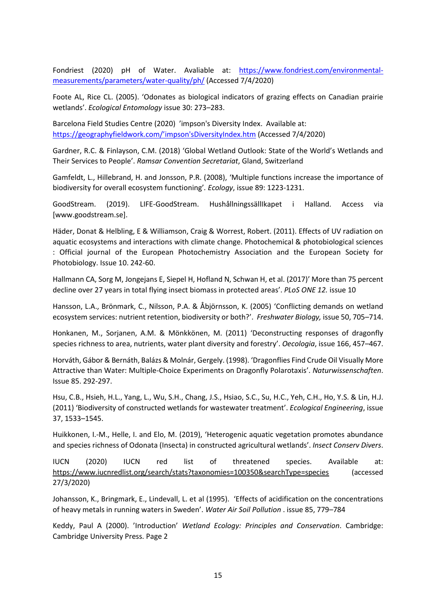Fondriest (2020) pH of Water. Avaliable at: [https://www.fondriest.com/environmental](https://www.fondriest.com/environmental-measurements/parameters/water-quality/ph/)[measurements/parameters/water-quality/ph/](https://www.fondriest.com/environmental-measurements/parameters/water-quality/ph/) (Accessed 7/4/2020)

Foote AL, Rice CL. (2005). 'Odonates as biological indicators of grazing effects on Canadian prairie wetlands'. *Ecological Entomology* issue 30: 273–283.

Barcelona Field Studies Centre (2020) 'impson's Diversity Index. Available at: [https://geographyfieldwork.com/](https://geographyfieldwork.com/Simpson)'impson'sDiversityIndex.htm (Accessed 7/4/2020)

Gardner, R.C. & Finlayson, C.M. (2018) 'Global Wetland Outlook: State of the World's Wetlands and Their Services to People'. *Ramsar Convention Secretariat*, Gland, Switzerland

Gamfeldt, L., Hillebrand, H. and Jonsson, P.R. (2008), 'Multiple functions increase the importance of biodiversity for overall ecosystem functioning'*. Ecology*, issue 89: 1223-1231.

GoodStream. (2019). LIFE-GoodStream. HushållningssällIkapet i Halland. Access via [www.goodstream.se].

Häder, Donat & Helbling, E & Williamson, Craig & Worrest, Robert. (2011). Effects of UV radiation on aquatic ecosystems and interactions with climate change. Photochemical & photobiological sciences : Official journal of the European Photochemistry Association and the European Society for Photobiology. Issue 10. 242-60.

Hallmann CA, Sorg M, Jongejans E, Siepel H, Hofland N, Schwan H, et al. (2017)' More than 75 percent decline over 27 years in total flying insect biomass in protected areas'. *PLoS ONE 12.* issue 10

Hansson, L.A., Brönmark, C., Nilsson, P.A. & Åbjörnsson, K. (2005) 'Conflicting demands on wetland ecosystem services: nutrient retention, biodiversity or both?'. *Freshwater Biology,* issue 50, 705–714.

Honkanen, M., Sorjanen, A.M. & Mönkkönen, M. (2011) 'Deconstructing responses of dragonfly species richness to area, nutrients, water plant diversity and forestry'. *Oecologia*, issue 166, 457–467.

Horváth, Gábor & Bernáth, Balázs & Molnár, Gergely. (1998). 'Dragonflies Find Crude Oil Visually More Attractive than Water: Multiple-Choice Experiments on Dragonfly Polarotaxis'. *Naturwissenschaften*. Issue 85. 292-297.

Hsu, C.B., Hsieh, H.L., Yang, L., Wu, S.H., Chang, J.S., Hsiao, S.C., Su, H.C., Yeh, C.H., Ho, Y.S. & Lin, H.J. (2011) 'Biodiversity of constructed wetlands for wastewater treatment'. *Ecological Engineering*, issue 37, 1533–1545.

Huikkonen, I.‐M., Helle, I. and Elo, M. (2019), 'Heterogenic aquatic vegetation promotes abundance and species richness of Odonata (Insecta) in constructed agricultural wetlands'. *Insect Conserv Divers*.

IUCN (2020) IUCN red list of threatened species. Available at: <https://www.iucnredlist.org/search/stats?taxonomies=100350&searchType=species> (accessed 27/3/2020)

Johansson, K., Bringmark, E., Lindevall, L. et al (1995). 'Effects of acidification on the concentrations of heavy metals in running waters in Sweden'. *Water Air Soil Pollution* . issue 85, 779–784

Keddy, Paul A (2000). 'Introduction' *Wetland Ecology: Principles and Conservation*. Cambridge: Cambridge University Press. Page 2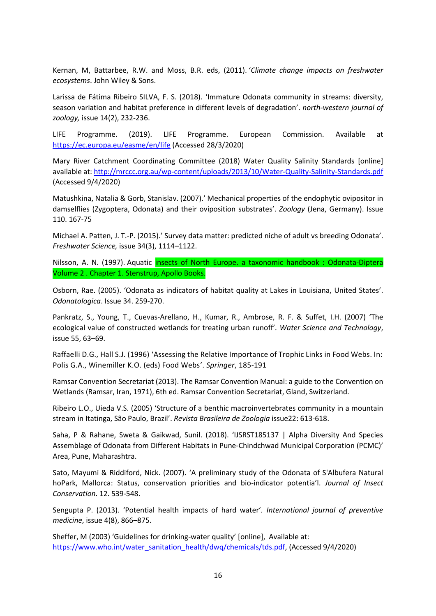Kernan, M, Battarbee, R.W. and Moss, B.R. eds, (2011). '*Climate change impacts on freshwater ecosystems*. John Wiley & Sons.

Larissa de Fátima Ribeiro SILVA, F. S. (2018). 'Immature Odonata community in streams: diversity, season variation and habitat preference in different levels of degradation'. *north-western journal of zoology,* issue 14(2), 232-236.

LIFE Programme. (2019). LIFE Programme. European Commission. Available at <https://ec.europa.eu/easme/en/life> (Accessed 28/3/2020)

Mary River Catchment Coordinating Committee (2018) Water Quality Salinity Standards [online] available at:<http://mrccc.org.au/wp-content/uploads/2013/10/Water-Quality-Salinity-Standards.pdf> (Accessed 9/4/2020)

Matushkina, Natalia & Gorb, Stanislav. (2007).' Mechanical properties of the endophytic ovipositor in damselflies (Zygoptera, Odonata) and their oviposition substrates'. *Zoology* (Jena, Germany). Issue 110. 167-75

Michael A. Patten, J. T.-P. (2015).' Survey data matter: predicted niche of adult vs breeding Odonata'. *Freshwater Science,* issue 34(3), 1114–1122.

Nilsson, A. N. (1997). Aquatic *insects of North Europe. a taxonomic handbook* : Odonata-Diptera Volume 2 . Chapter 1. Stenstrup, Apollo Books.

Osborn, Rae. (2005). 'Odonata as indicators of habitat quality at Lakes in Louisiana, United States'. *Odonatologica*. Issue 34. 259-270.

Pankratz, S., Young, T., Cuevas-Arellano, H., Kumar, R., Ambrose, R. F. & Suffet, I.H. (2007) 'The ecological value of constructed wetlands for treating urban runoff'*. Water Science and Technology*, issue 55, 63–69.

Raffaelli D.G., Hall S.J. (1996) 'Assessing the Relative Importance of Trophic Links in Food Webs. In: Polis G.A., Winemiller K.O. (eds) Food Webs'. *Springer*, 185-191

Ramsar Convention Secretariat (2013). The Ramsar Convention Manual: a guide to the Convention on Wetlands (Ramsar, Iran, 1971), 6th ed. Ramsar Convention Secretariat, Gland, Switzerland.

Ribeiro L.O., Uieda V.S. (2005) 'Structure of a benthic macroinvertebrates community in a mountain stream in Itatinga, São Paulo, Brazil'. *Revista Brasileira de Zoologia* issue22: 613-618.

Saha, P & Rahane, Sweta & Gaikwad, Sunil. (2018). 'IJSRST185137 | Alpha Diversity And Species Assemblage of Odonata from Different Habitats in Pune-Chindchwad Municipal Corporation (PCMC)' Area, Pune, Maharashtra.

Sato, Mayumi & Riddiford, Nick. (2007). 'A preliminary study of the Odonata of S'Albufera Natural hoPark, Mallorca: Status, conservation priorities and bio-indicator potentia'l. *Journal of Insect Conservation*. 12. 539-548.

Sengupta P. (2013). 'Potential health impacts of hard water'*. International journal of preventive medicine*, issue 4(8), 866–875.

Sheffer, M (2003) 'Guidelines for drinking-water quality' [online], Available at: [https://www.who.int/water\\_sanitation\\_health/dwq/chemicals/tds.pdf,](https://www.who.int/water_sanitation_health/dwq/chemicals/tds.pdf) (Accessed 9/4/2020)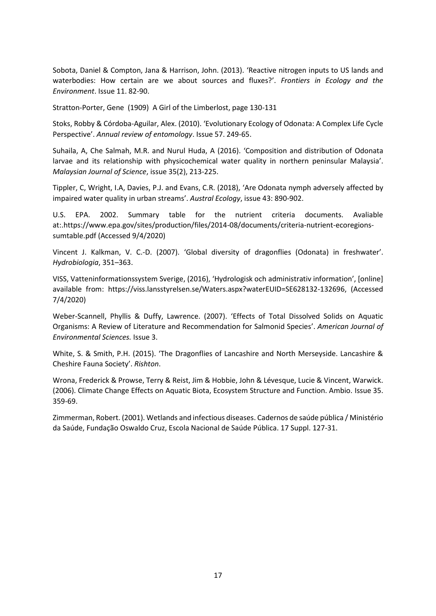Sobota, Daniel & Compton, Jana & Harrison, John. (2013). 'Reactive nitrogen inputs to US lands and waterbodies: How certain are we about sources and fluxes?'. *Frontiers in Ecology and the Environment*. Issue 11. 82-90.

Stratton-Porter, Gene (1909) A Girl of the Limberlost, page 130-131

Stoks, Robby & Córdoba-Aguilar, Alex. (2010). 'Evolutionary Ecology of Odonata: A Complex Life Cycle Perspective'. *Annual review of entomology*. Issue 57. 249-65.

Suhaila, A, Che Salmah, M.R. and Nurul Huda, A (2016). 'Composition and distribution of Odonata larvae and its relationship with physicochemical water quality in northern peninsular Malaysia'. *Malaysian Journal of Science*, issue 35(2), 213-225.

Tippler, C, Wright, I.A, Davies, P.J. and Evans, C.R. (2018), 'Are Odonata nymph adversely affected by impaired water quality in urban streams'. *Austral Ecology*, issue 43: 890-902.

U.S. EPA. 2002. Summary table for the nutrient criteria documents. Avaliable at:.https://www.epa.gov/sites/production/files/2014-08/documents/criteria-nutrient-ecoregionssumtable.pdf (Accessed 9/4/2020)

Vincent J. Kalkman, V. C.-D. (2007). 'Global diversity of dragonflies (Odonata) in freshwater'. *Hydrobiologia*, 351–363.

VISS, Vatteninformationssystem Sverige, (2016), 'Hydrologisk och administrativ information', [online] available from: https://viss.lansstyrelsen.se/Waters.aspx?waterEUID=SE628132-132696, (Accessed 7/4/2020)

Weber-Scannell, Phyllis & Duffy, Lawrence. (2007). 'Effects of Total Dissolved Solids on Aquatic Organisms: A Review of Literature and Recommendation for Salmonid Species'. *American Journal of Environmental Sciences.* Issue 3.

White, S. & Smith, P.H. (2015). 'The Dragonflies of Lancashire and North Merseyside. Lancashire & Cheshire Fauna Society'. *Rishton*.

Wrona, Frederick & Prowse, Terry & Reist, Jim & Hobbie, John & Lévesque, Lucie & Vincent, Warwick. (2006). Climate Change Effects on Aquatic Biota, Ecosystem Structure and Function. Ambio. Issue 35. 359-69.

Zimmerman, Robert. (2001). Wetlands and infectious diseases. Cadernos de saúde pública / Ministério da Saúde, Fundação Oswaldo Cruz, Escola Nacional de Saúde Pública. 17 Suppl. 127-31.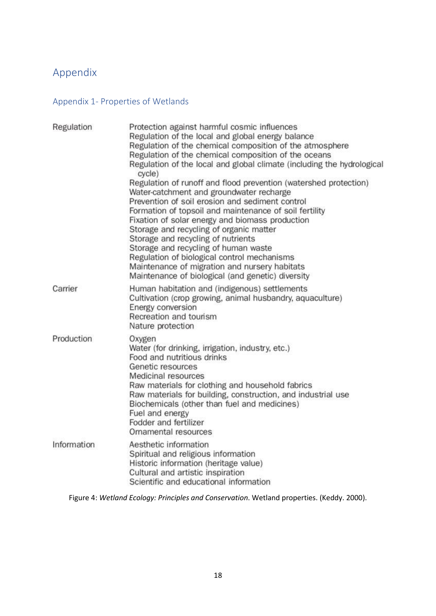# Appendix

# Appendix 1- Properties of Wetlands

| Regulation  | Protection against harmful cosmic influences<br>Regulation of the local and global energy balance<br>Regulation of the chemical composition of the atmosphere<br>Regulation of the chemical composition of the oceans<br>Regulation of the local and global climate (including the hydrological<br>cycle)<br>Regulation of runoff and flood prevention (watershed protection)<br>Water-catchment and groundwater recharge<br>Prevention of soil erosion and sediment control<br>Formation of topsoil and maintenance of soil fertility<br>Fixation of solar energy and biomass production<br>Storage and recycling of organic matter<br>Storage and recycling of nutrients<br>Storage and recycling of human waste<br>Regulation of biological control mechanisms<br>Maintenance of migration and nursery habitats<br>Maintenance of biological (and genetic) diversity |
|-------------|-------------------------------------------------------------------------------------------------------------------------------------------------------------------------------------------------------------------------------------------------------------------------------------------------------------------------------------------------------------------------------------------------------------------------------------------------------------------------------------------------------------------------------------------------------------------------------------------------------------------------------------------------------------------------------------------------------------------------------------------------------------------------------------------------------------------------------------------------------------------------|
| Carrier     | Human habitation and (indigenous) settlements<br>Cultivation (crop growing, animal husbandry, aquaculture)<br>Energy conversion<br>Recreation and tourism<br>Nature protection                                                                                                                                                                                                                                                                                                                                                                                                                                                                                                                                                                                                                                                                                          |
| Production  | Oxygen<br>Water (for drinking, irrigation, industry, etc.)<br>Food and nutritious drinks<br>Genetic resources<br>Medicinal resources<br>Raw materials for clothing and household fabrics<br>Raw materials for building, construction, and industrial use<br>Biochemicals (other than fuel and medicines)<br>Fuel and energy<br>Fodder and fertilizer<br>Ornamental resources                                                                                                                                                                                                                                                                                                                                                                                                                                                                                            |
| Information | Aesthetic information<br>Spiritual and religious information<br>Historic information (heritage value)<br>Cultural and artistic inspiration<br>Scientific and educational information                                                                                                                                                                                                                                                                                                                                                                                                                                                                                                                                                                                                                                                                                    |

Figure 4: *Wetland Ecology: Principles and Conservation*. Wetland properties. (Keddy. 2000).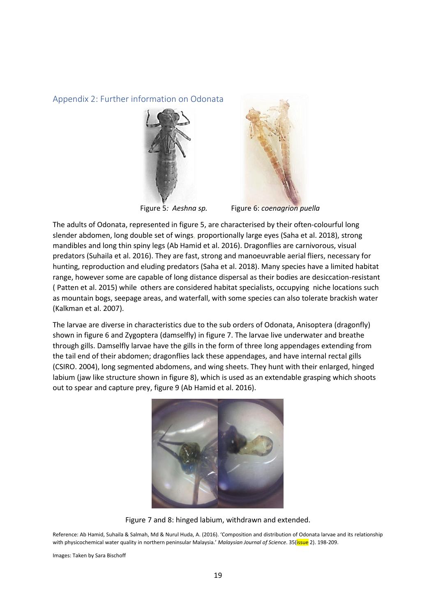#### Appendix 2: Further information on Odonata





Figure 5*: Aeshna sp.* Figure 6: *coenagrion puella*

The adults of Odonata, represented in figure 5, are characterised by their often-colourful long slender abdomen, long double set of wings, proportionally large eyes (Saha et al. 2018), strong mandibles and long thin spiny legs (Ab Hamid et al. 2016). Dragonflies are carnivorous, visual predators (Suhaila et al. 2016). They are fast, strong and manoeuvrable aerial fliers, necessary for hunting, reproduction and eluding predators (Saha et al. 2018). Many species have a limited habitat range, however some are capable of long distance dispersal as their bodies are desiccation-resistant ( Patten et al. 2015) while others are considered habitat specialists, occupying niche locations such as mountain bogs, seepage areas, and waterfall, with some species can also tolerate brackish water (Kalkman et al. 2007).

The larvae are diverse in characteristics due to the sub orders of Odonata, Anisoptera (dragonfly) shown in figure 6 and Zygoptera (damselfly) in figure 7. The larvae live underwater and breathe through gills. Damselfly larvae have the gills in the form of three long appendages extending from the tail end of their abdomen; dragonflies lack these appendages, and have internal rectal gills (CSIRO. 2004), long segmented abdomens, and wing sheets. They hunt with their enlarged, hinged labium (jaw like structure shown in figure 8), which is used as an extendable grasping which shoots out to spear and capture prey, figure 9 (Ab Hamid et al. 2016).



Figure 7 and 8: hinged labium, withdrawn and extended.

Reference: Ab Hamid, Suhaila & Salmah, Md & Nurul Huda, A. (2016). 'Composition and distribution of Odonata larvae and its relationship with physicochemical water quality in northern peninsular Malaysia.' *Malaysian Journal of Science*. 35(issue 2). 198-209.

Images: Taken by Sara Bischoff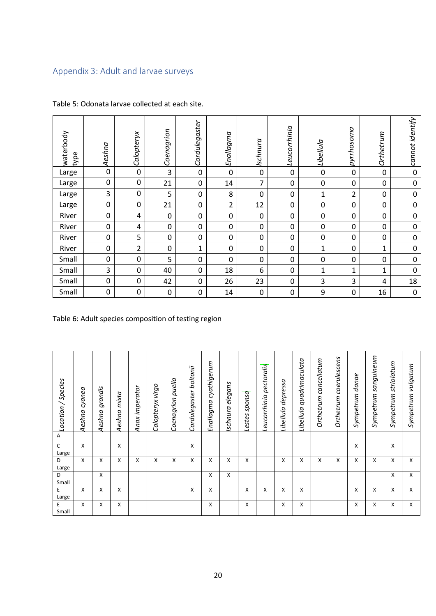# Appendix 3: Adult and larvae surveys

| waterbody<br>type | Aeshna       | Calopteryx  | Coenagrion  | Cordulegaster    | Enallagma      | Ischnura    | Leucorrhinia | Libellula    | pyrrhosoma     | Orthetrum    | cannot identify  |
|-------------------|--------------|-------------|-------------|------------------|----------------|-------------|--------------|--------------|----------------|--------------|------------------|
| Large             | $\mathbf{0}$ | $\mathbf 0$ | 3           | $\mathbf 0$      | $\mathbf 0$    | $\mathbf 0$ | $\mathbf 0$  | $\mathbf 0$  | 0              | 0            | $\mathbf 0$      |
| Large             | $\mathbf 0$  | $\mathbf 0$ | 21          | $\boldsymbol{0}$ | 14             | 7           | 0            | $\mathbf 0$  | 0              | 0            | $\mathbf 0$      |
| Large             | 3            | 0           | 5           | 0                | 8              | $\mathbf 0$ | 0            | $\mathbf{1}$ | $\overline{2}$ | 0            | $\mathbf 0$      |
| Large             | $\mathbf 0$  | $\mathbf 0$ | 21          | $\boldsymbol{0}$ | $\overline{2}$ | 12          | 0            | $\mathbf 0$  | 0              | $\mathbf 0$  | $\pmb{0}$        |
| River             | $\mathbf 0$  | 4           | $\mathbf 0$ | 0                | $\mathbf 0$    | $\mathbf 0$ | $\mathbf 0$  | $\mathbf 0$  | 0              | 0            | $\mathbf 0$      |
| River             | $\mathbf{0}$ | 4           | 0           | 0                | 0              | $\mathbf 0$ | 0            | $\mathbf 0$  | 0              | 0            | $\mathbf 0$      |
| River             | $\mathbf 0$  | 5           | $\mathbf 0$ | 0                | 0              | $\pmb{0}$   | 0            | $\mathbf 0$  | 0              | 0            | $\boldsymbol{0}$ |
| River             | $\Omega$     | 2           | 0           | $\mathbf{1}$     | 0              | $\mathbf 0$ | $\mathbf 0$  | $\mathbf{1}$ | 0              | $\mathbf{1}$ | $\mathbf 0$      |
| Small             | $\mathbf 0$  | $\mathbf 0$ | 5           | 0                | 0              | $\pmb{0}$   | 0            | $\mathbf 0$  | 0              | $\mathbf 0$  | $\boldsymbol{0}$ |
| Small             | 3            | $\mathbf 0$ | 40          | 0                | 18             | 6           | 0            | $\mathbf{1}$ | $\mathbf 1$    | $\mathbf{1}$ | $\mathbf 0$      |
| Small             | $\mathbf 0$  | 0           | 42          | 0                | 26             | 23          | 0            | 3            | 3              | 4            | 18               |
| Small             | $\Omega$     | 0           | $\mathbf 0$ | $\mathbf 0$      | 14             | $\mathbf 0$ | 0            | 9            | 0              | 16           | $\mathbf 0$      |

Table 5: Odonata larvae collected at each site.

Table 6: Adult species composition of testing region

| Location / Species<br>$\boldsymbol{\mathsf{A}}$ | cyanea<br>Aeshna | grandis<br>Aeshna | $m$ ixt $a$<br>Aeshna | Anax imperator | Calopteryx virgo | Coenagrion puella | Cordulegaster boltonii | Enallagma cyathigerum | elegans<br>Ischnura | sponsa<br>Lestes | pectoralis<br>Leucorrhinia | depressa<br>Libellula | Libellula quadrimaculata | Orthetrum cancellatum | Orthetrum coerulescens | Sympetrum danae | sanguineum<br>Sympetrum | striolatum<br>Sympetrum | vulgatum<br>Sympetrum |
|-------------------------------------------------|------------------|-------------------|-----------------------|----------------|------------------|-------------------|------------------------|-----------------------|---------------------|------------------|----------------------------|-----------------------|--------------------------|-----------------------|------------------------|-----------------|-------------------------|-------------------------|-----------------------|
| C                                               | x                |                   | X                     |                |                  |                   | X                      |                       |                     |                  |                            |                       |                          |                       |                        | X               |                         | X                       |                       |
| Large                                           |                  |                   |                       |                |                  |                   |                        |                       |                     |                  |                            |                       |                          |                       |                        |                 |                         |                         |                       |
| D<br>Large                                      | x                | X                 | X                     | X              | X                | X                 | X                      | x                     | X                   | X                |                            | X                     | X                        | X                     | X                      | X               | X                       | X                       | X                     |
| D<br>Small                                      |                  | X                 |                       |                |                  |                   |                        | X                     | X                   |                  |                            |                       |                          |                       |                        |                 |                         | X                       | X                     |
| E                                               | X                | X                 | x                     |                |                  |                   | x                      | X                     |                     | X                | X                          | X                     | X                        |                       |                        | X               | X                       | X                       | X                     |
| Large                                           |                  |                   |                       |                |                  |                   |                        |                       |                     |                  |                            |                       |                          |                       |                        |                 |                         |                         |                       |
| E<br>Small                                      | X                | X                 | X                     |                |                  |                   |                        | x                     |                     | X                |                            | X                     | x                        |                       |                        | X               | X                       | X                       | X                     |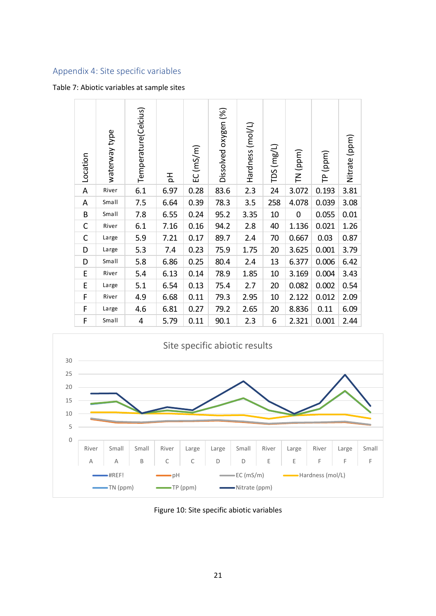# Appendix 4: Site specific variables

#### Table 7: Abiotic variables at sample sites

| Location     | waterway type | Temperature(Celcius) | 공    | EC(mS/m) | Dissolved oxygen (%) | Hardness (mol/L) | $TDS$ (mg/L) | TN (ppm)    | (ppm)<br>은 | Nitrate (ppm) |
|--------------|---------------|----------------------|------|----------|----------------------|------------------|--------------|-------------|------------|---------------|
| A            | River         | 6.1                  | 6.97 | 0.28     | 83.6                 | 2.3              | 24           | 3.072       | 0.193      | 3.81          |
| A            | Small         | 7.5                  | 6.64 | 0.39     | 78.3                 | 3.5              | 258          | 4.078       | 0.039      | 3.08          |
| B            | Small         | 7.8                  | 6.55 | 0.24     | 95.2                 | 3.35             | 10           | $\mathbf 0$ | 0.055      | 0.01          |
| C            | River         | 6.1                  | 7.16 | 0.16     | 94.2                 | 2.8              | 40           | 1.136       | 0.021      | 1.26          |
| $\mathsf{C}$ | Large         | 5.9                  | 7.21 | 0.17     | 89.7                 | 2.4              | 70           | 0.667       | 0.03       | 0.87          |
| D            | Large         | 5.3                  | 7.4  | 0.23     | 75.9                 | 1.75             | 20           | 3.625       | 0.001      | 3.79          |
| D            | Small         | 5.8                  | 6.86 | 0.25     | 80.4                 | 2.4              | 13           | 6.377       | 0.006      | 6.42          |
| E            | River         | 5.4                  | 6.13 | 0.14     | 78.9                 | 1.85             | 10           | 3.169       | 0.004      | 3.43          |
| E            | Large         | 5.1                  | 6.54 | 0.13     | 75.4                 | 2.7              | 20           | 0.082       | 0.002      | 0.54          |
| F            | River         | 4.9                  | 6.68 | 0.11     | 79.3                 | 2.95             | 10           | 2.122       | 0.012      | 2.09          |
| F            | Large         | 4.6                  | 6.81 | 0.27     | 79.2                 | 2.65             | 20           | 8.836       | 0.11       | 6.09          |
| F            | Small         | 4                    | 5.79 | 0.11     | 90.1                 | 2.3              | 6            | 2.321       | 0.001      | 2.44          |



Figure 10: Site specific abiotic variables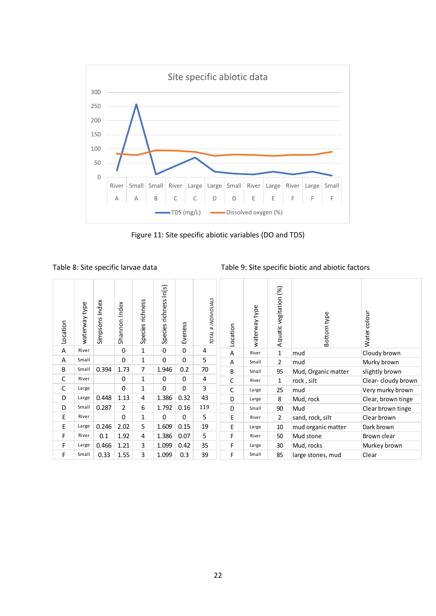

Figure 11: Site specific abiotic variables (DO and TDS)

Table 8: Site specific larvae data Table 9: Site specific biotic and abiotic factors

| Location | waterway type | Simpsons Index | Shannon Index | Species richness | Species richness In(s) | Eveness     | TOTAL # INDIVIDUALS | Location | waterway type | Aquatic vegitation (%) | Bottom type         | colour<br>Water    |
|----------|---------------|----------------|---------------|------------------|------------------------|-------------|---------------------|----------|---------------|------------------------|---------------------|--------------------|
| Α        | River         |                | 0             | 1                | $\mathbf 0$            | $\mathbf 0$ | 4                   | A        | River         | $\mathbf{1}$           | mud                 | Cloudy brown       |
| A        | Small         |                | 0             | 1                | $\mathbf 0$            | 0           | 5                   | A        | Small         | $\overline{2}$         | mud                 | Murky brown        |
| B        | Small         | 0.394          | 1.73          | 7                | 1.946                  | 0.2         | 70                  | B        | Small         | 95                     | Mud, Organic matter | slightly brown     |
| С        | River         |                | $\mathbf 0$   | 1                | $\mathbf 0$            | 0           | 4                   | C        | River         | 1                      | rock, silt          | Clear-cloudy brown |
| C        | Large         |                | $\mathbf 0$   | 1                | $\mathbf 0$            | 0           | 3                   | C        | Large         | 25                     | mud                 | Very murky brown   |
| D        | Large         | 0.448          | 1.13          | 4                | 1.386                  | 0.32        | 43                  | D        | Large         | 8                      | Mud, rock           | Clear, brown tinge |
| D        | Small         | 0.287          | 2             | 6                | 1.792                  | 0.16        | 119                 | D        | Small         | 90                     | Mud                 | Clear brown tinge  |
| E        | River         |                | 0             | 1                | $\Omega$               | 0           | 5                   | E        | River         | 2                      | sand, rock, silt    | Clear brown        |
| E        | Large         | 0.246          | 2.02          | 5                | 1.609                  | 0.15        | 19                  | E        | Large         | 10                     | mud organic matter  | Dark brown         |
| F        | River         | 0.1            | 1.92          | 4                | 1.386                  | 0.07        | 5                   | F        | River         | 50                     | Mud stone           | Brown clear        |
| F        | Large         | 0.466          | 1.21          | 3                | 1.099                  | 0.42        | 35                  | F        | Large         | 30                     | Mud, rocks          | Murkey brown       |
| F        | Small         | 0.33           | 1.55          | 3                | 1.099                  | 0.3         | 39                  | F        | Small         | 85                     | large stones, mud   | Clear              |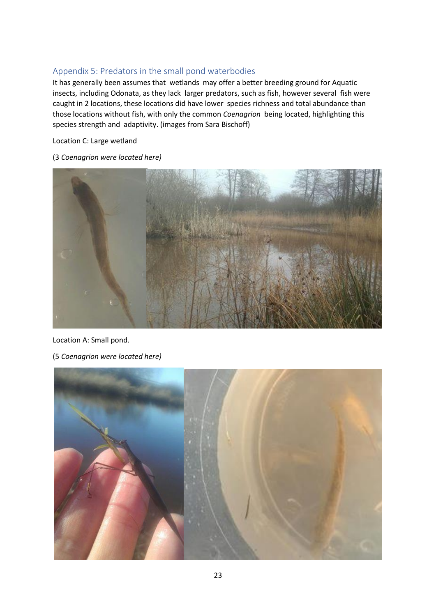#### Appendix 5: Predators in the small pond waterbodies

It has generally been assumes that wetlands may offer a better breeding ground for Aquatic insects, including Odonata, as they lack larger predators, such as fish, however several fish were caught in 2 locations, these locations did have lower species richness and total abundance than those locations without fish, with only the common *Coenagrion* being located, highlighting this species strength and adaptivity. (images from Sara Bischoff)

Location C: Large wetland

(3 *Coenagrion were located here)*



Location A: Small pond.

(5 *Coenagrion were located here)*